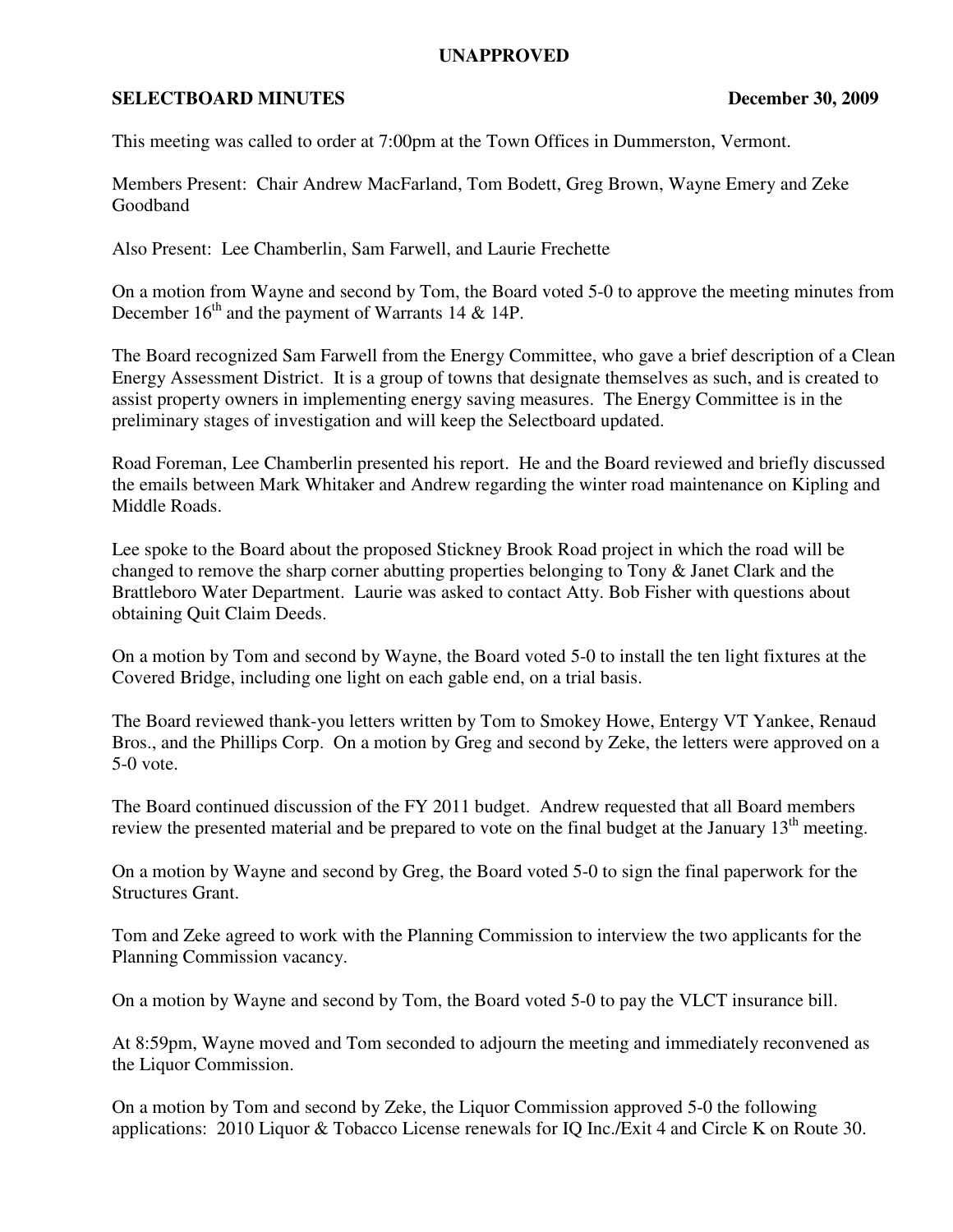## **UNAPPROVED**

## **SELECTBOARD MINUTES** December 30, 2009

This meeting was called to order at 7:00pm at the Town Offices in Dummerston, Vermont.

Members Present: Chair Andrew MacFarland, Tom Bodett, Greg Brown, Wayne Emery and Zeke Goodband

Also Present: Lee Chamberlin, Sam Farwell, and Laurie Frechette

On a motion from Wayne and second by Tom, the Board voted 5-0 to approve the meeting minutes from December  $16<sup>th</sup>$  and the payment of Warrants 14 & 14P.

The Board recognized Sam Farwell from the Energy Committee, who gave a brief description of a Clean Energy Assessment District. It is a group of towns that designate themselves as such, and is created to assist property owners in implementing energy saving measures. The Energy Committee is in the preliminary stages of investigation and will keep the Selectboard updated.

Road Foreman, Lee Chamberlin presented his report. He and the Board reviewed and briefly discussed the emails between Mark Whitaker and Andrew regarding the winter road maintenance on Kipling and Middle Roads.

Lee spoke to the Board about the proposed Stickney Brook Road project in which the road will be changed to remove the sharp corner abutting properties belonging to Tony & Janet Clark and the Brattleboro Water Department. Laurie was asked to contact Atty. Bob Fisher with questions about obtaining Quit Claim Deeds.

On a motion by Tom and second by Wayne, the Board voted 5-0 to install the ten light fixtures at the Covered Bridge, including one light on each gable end, on a trial basis.

The Board reviewed thank-you letters written by Tom to Smokey Howe, Entergy VT Yankee, Renaud Bros., and the Phillips Corp. On a motion by Greg and second by Zeke, the letters were approved on a 5-0 vote.

The Board continued discussion of the FY 2011 budget. Andrew requested that all Board members review the presented material and be prepared to vote on the final budget at the January 13<sup>th</sup> meeting.

On a motion by Wayne and second by Greg, the Board voted 5-0 to sign the final paperwork for the Structures Grant.

Tom and Zeke agreed to work with the Planning Commission to interview the two applicants for the Planning Commission vacancy.

On a motion by Wayne and second by Tom, the Board voted 5-0 to pay the VLCT insurance bill.

At 8:59pm, Wayne moved and Tom seconded to adjourn the meeting and immediately reconvened as the Liquor Commission.

On a motion by Tom and second by Zeke, the Liquor Commission approved 5-0 the following applications: 2010 Liquor & Tobacco License renewals for IQ Inc./Exit 4 and Circle K on Route 30.